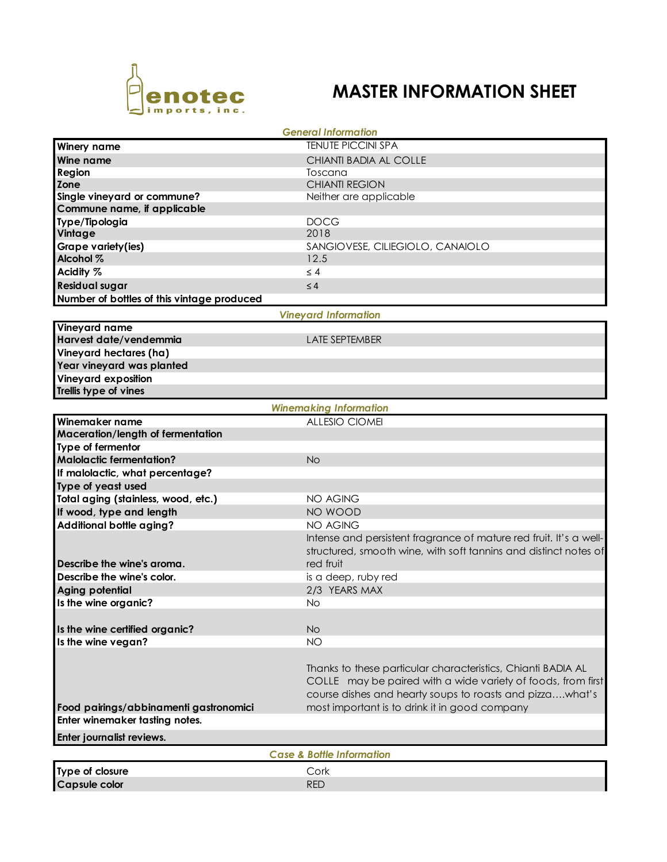

## **MASTER INFORMATION SHEET**

| <b>General Information</b>                           |                                                                                                                              |  |  |  |
|------------------------------------------------------|------------------------------------------------------------------------------------------------------------------------------|--|--|--|
| Winery name                                          | <b>TENUTE PICCINI SPA</b>                                                                                                    |  |  |  |
| Wine name                                            | CHIANTI BADIA AL COLLE                                                                                                       |  |  |  |
| <b>Region</b>                                        | Toscana                                                                                                                      |  |  |  |
| Zone                                                 | <b>CHIANTI REGION</b>                                                                                                        |  |  |  |
| Single vineyard or commune?                          | Neither are applicable                                                                                                       |  |  |  |
| Commune name, if applicable                          |                                                                                                                              |  |  |  |
| Type/Tipologia                                       | <b>DOCG</b>                                                                                                                  |  |  |  |
| Vintage                                              | 2018                                                                                                                         |  |  |  |
| Grape variety(ies)                                   | SANGIOVESE, CILIEGIOLO, CANAIOLO                                                                                             |  |  |  |
| Alcohol %                                            | 12.5                                                                                                                         |  |  |  |
| Acidity %                                            | $\leq 4$                                                                                                                     |  |  |  |
| <b>Residual sugar</b>                                | $\leq 4$                                                                                                                     |  |  |  |
| Number of bottles of this vintage produced           |                                                                                                                              |  |  |  |
| <b>Vineyard Information</b>                          |                                                                                                                              |  |  |  |
| Vineyard name                                        |                                                                                                                              |  |  |  |
| Harvest date/vendemmia                               | <b>LATE SEPTEMBER</b>                                                                                                        |  |  |  |
| Vineyard hectares (ha)                               |                                                                                                                              |  |  |  |
| Year vineyard was planted                            |                                                                                                                              |  |  |  |
| <b>Vineyard exposition</b>                           |                                                                                                                              |  |  |  |
| Trellis type of vines                                |                                                                                                                              |  |  |  |
| <b>Winemaking Information</b>                        |                                                                                                                              |  |  |  |
| Winemaker name                                       | <b>ALLESIO CIOMEI</b>                                                                                                        |  |  |  |
| Maceration/length of fermentation                    |                                                                                                                              |  |  |  |
| Type of fermentor                                    |                                                                                                                              |  |  |  |
| <b>Malolactic fermentation?</b>                      | <b>No</b>                                                                                                                    |  |  |  |
| If malolactic, what percentage?                      |                                                                                                                              |  |  |  |
| Type of yeast used                                   |                                                                                                                              |  |  |  |
| Total aging (stainless, wood, etc.)                  | <b>NO AGING</b>                                                                                                              |  |  |  |
| If wood, type and length                             | NO WOOD                                                                                                                      |  |  |  |
| Additional bottle aging?                             | <b>NO AGING</b>                                                                                                              |  |  |  |
|                                                      | Intense and persistent fragrance of mature red fruit. It's a well-                                                           |  |  |  |
|                                                      | structured, smooth wine, with soft tannins and distinct notes of                                                             |  |  |  |
| Describe the wine's aroma.                           | red fruit                                                                                                                    |  |  |  |
| Describe the wine's color.                           | is a deep, ruby red                                                                                                          |  |  |  |
| <b>Aging potential</b>                               | 2/3 YEARS MAX                                                                                                                |  |  |  |
| Is the wine organic?                                 | <b>No</b>                                                                                                                    |  |  |  |
|                                                      |                                                                                                                              |  |  |  |
|                                                      | <b>No</b>                                                                                                                    |  |  |  |
| Is the wine certified organic?<br>Is the wine vegan? | <b>NO</b>                                                                                                                    |  |  |  |
|                                                      |                                                                                                                              |  |  |  |
|                                                      |                                                                                                                              |  |  |  |
|                                                      | Thanks to these particular characteristics, Chianti BADIA AL<br>COLLE may be paired with a wide variety of foods, from first |  |  |  |
|                                                      |                                                                                                                              |  |  |  |
|                                                      | course dishes and hearty soups to roasts and pizzawhat's                                                                     |  |  |  |
| Food pairings/abbinamenti gastronomici               | most important is to drink it in good company                                                                                |  |  |  |
| Enter winemaker tasting notes.                       |                                                                                                                              |  |  |  |
| Enter journalist reviews.                            |                                                                                                                              |  |  |  |
| <b>Case &amp; Bottle Information</b>                 |                                                                                                                              |  |  |  |
| Type of closure                                      | Cork                                                                                                                         |  |  |  |
| <b>Capsule color</b>                                 | <b>RED</b>                                                                                                                   |  |  |  |
|                                                      |                                                                                                                              |  |  |  |